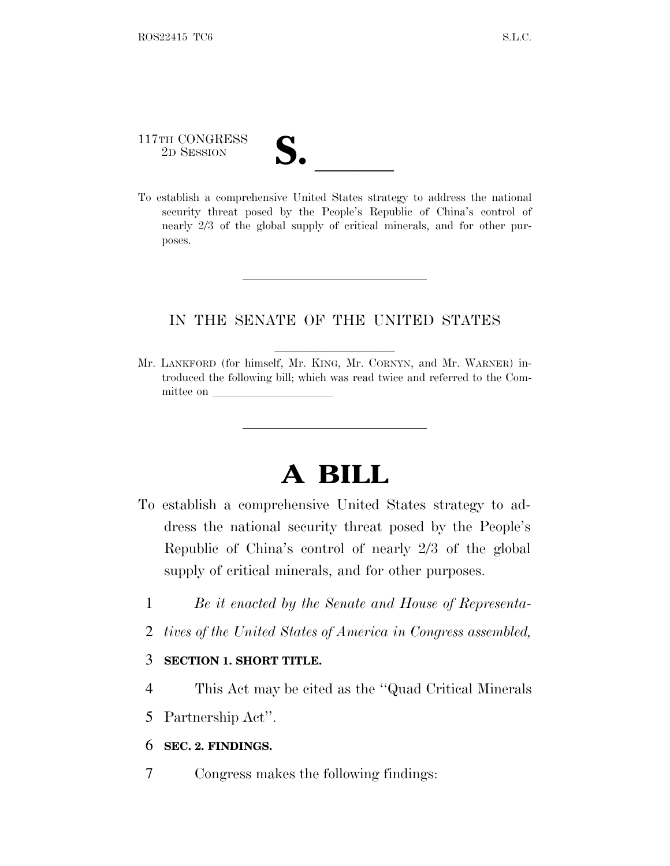# 117TH CONGRESS 117TH CONGRESS<br>
2D SESSION<br>
To establish a comprehensive United States strategy to address the national

security threat posed by the People's Republic of China's control of nearly 2/3 of the global supply of critical minerals, and for other purposes.

#### IN THE SENATE OF THE UNITED STATES

Mr. LANKFORD (for himself, Mr. KING, Mr. CORNYN, and Mr. WARNER) introduced the following bill; which was read twice and referred to the Committee on

## **A BILL**

- To establish a comprehensive United States strategy to address the national security threat posed by the People's Republic of China's control of nearly 2/3 of the global supply of critical minerals, and for other purposes.
	- 1 *Be it enacted by the Senate and House of Representa-*
	- 2 *tives of the United States of America in Congress assembled,*

#### 3 **SECTION 1. SHORT TITLE.**

- 4 This Act may be cited as the ''Quad Critical Minerals
- 5 Partnership Act''.

#### 6 **SEC. 2. FINDINGS.**

7 Congress makes the following findings: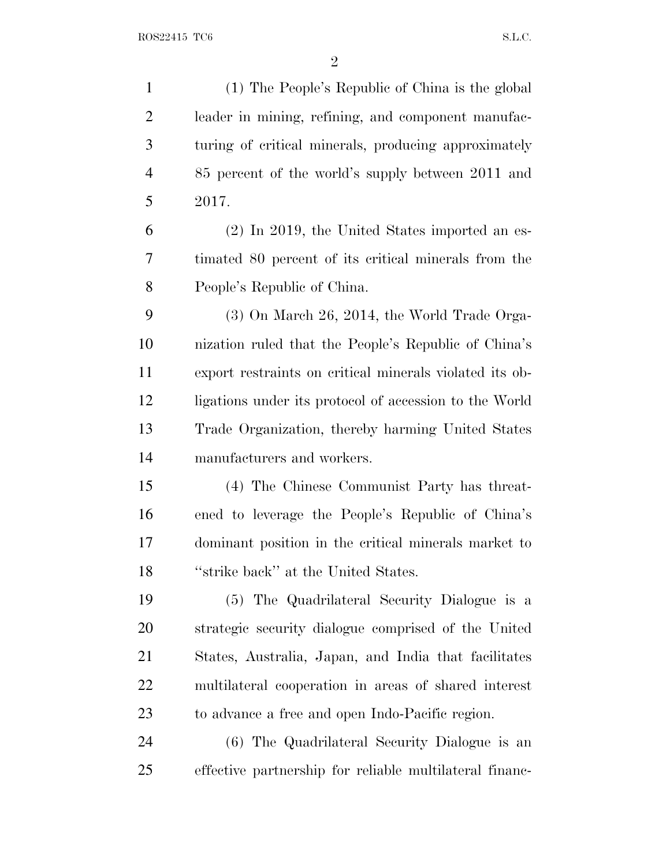(1) The People's Republic of China is the global leader in mining, refining, and component manufac- turing of critical minerals, producing approximately 85 percent of the world's supply between 2011 and 2017. (2) In 2019, the United States imported an es- timated 80 percent of its critical minerals from the People's Republic of China. (3) On March 26, 2014, the World Trade Orga- nization ruled that the People's Republic of China's export restraints on critical minerals violated its ob- ligations under its protocol of accession to the World Trade Organization, thereby harming United States manufacturers and workers. (4) The Chinese Communist Party has threat- ened to leverage the People's Republic of China's dominant position in the critical minerals market to ''strike back'' at the United States. (5) The Quadrilateral Security Dialogue is a strategic security dialogue comprised of the United States, Australia, Japan, and India that facilitates multilateral cooperation in areas of shared interest to advance a free and open Indo-Pacific region.

 (6) The Quadrilateral Security Dialogue is an effective partnership for reliable multilateral financ-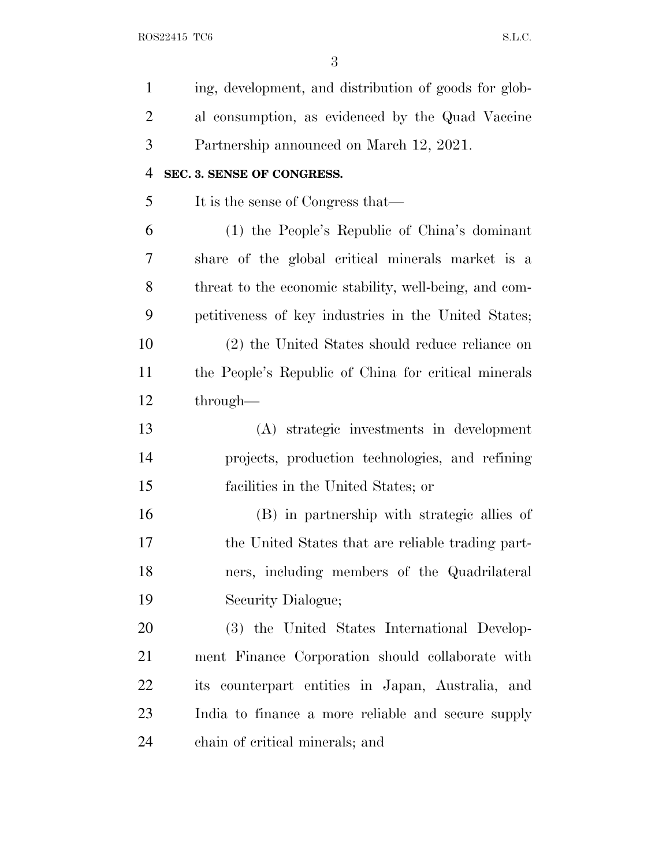| $\mathbf{1}$   | ing, development, and distribution of goods for glob-  |
|----------------|--------------------------------------------------------|
| $\overline{2}$ | al consumption, as evidenced by the Quad Vaccine       |
| 3              | Partnership announced on March 12, 2021.               |
| $\overline{4}$ | SEC. 3. SENSE OF CONGRESS.                             |
| 5              | It is the sense of Congress that—                      |
| 6              | (1) the People's Republic of China's dominant          |
| 7              | share of the global critical minerals market is a      |
| 8              | threat to the economic stability, well-being, and com- |
| 9              | petitiveness of key industries in the United States;   |
| 10             | (2) the United States should reduce reliance on        |
| 11             | the People's Republic of China for critical minerals   |
| 12             | through—                                               |
| 13             | (A) strategic investments in development               |
| 14             | projects, production technologies, and refining        |
| 15             | facilities in the United States; or                    |
|                |                                                        |
| 16             | (B) in partnership with strategic allies of            |
| 17             | the United States that are reliable trading part-      |
| 18             | ners, including members of the Quadrilateral           |
| 19             | Security Dialogue;                                     |
| 20             | (3) the United States International Develop-           |
| 21             | ment Finance Corporation should collaborate with       |
| 22             | its counterpart entities in Japan, Australia, and      |
| 23             | India to finance a more reliable and secure supply     |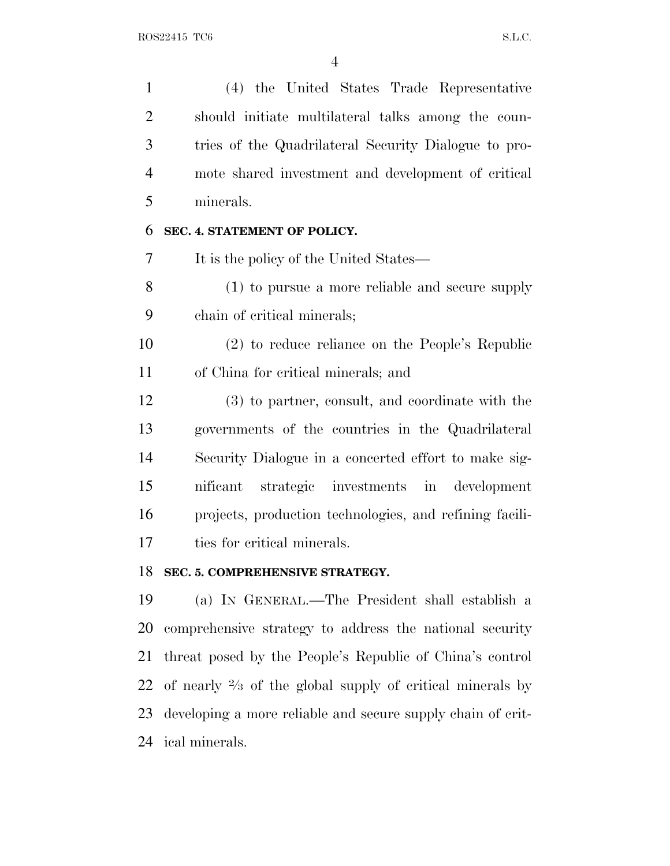(4) the United States Trade Representative should initiate multilateral talks among the coun- tries of the Quadrilateral Security Dialogue to pro- mote shared investment and development of critical minerals. **SEC. 4. STATEMENT OF POLICY.** It is the policy of the United States— (1) to pursue a more reliable and secure supply chain of critical minerals; (2) to reduce reliance on the People's Republic of China for critical minerals; and (3) to partner, consult, and coordinate with the governments of the countries in the Quadrilateral Security Dialogue in a concerted effort to make sig- nificant strategic investments in development projects, production technologies, and refining facili- ties for critical minerals. **SEC. 5. COMPREHENSIVE STRATEGY.** (a) I<sup>N</sup> GENERAL.—The President shall establish a comprehensive strategy to address the national security

 threat posed by the People's Republic of China's control 22 of nearly  $\frac{2}{3}$  of the global supply of critical minerals by developing a more reliable and secure supply chain of crit-ical minerals.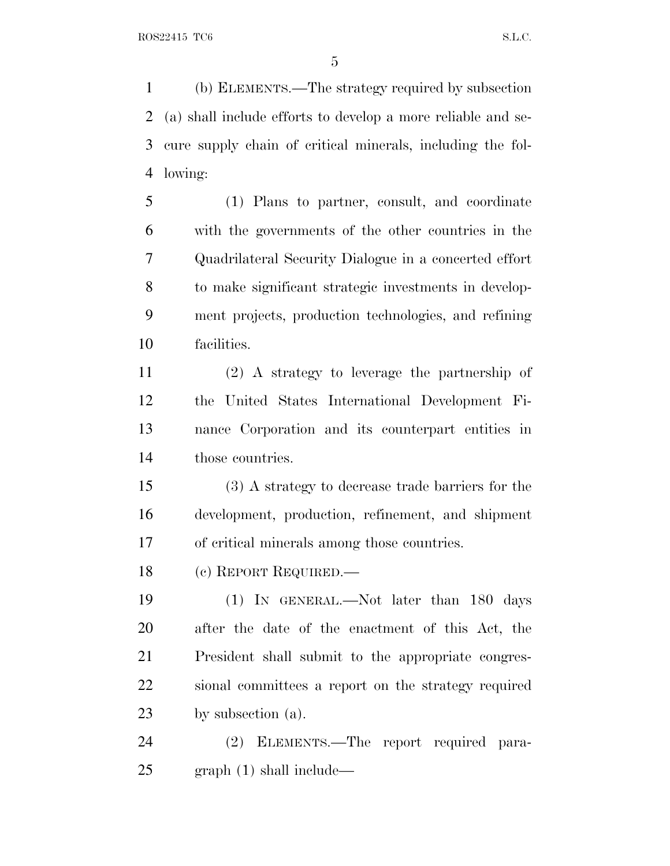(b) ELEMENTS.—The strategy required by subsection (a) shall include efforts to develop a more reliable and se- cure supply chain of critical minerals, including the fol-lowing:

 (1) Plans to partner, consult, and coordinate with the governments of the other countries in the Quadrilateral Security Dialogue in a concerted effort to make significant strategic investments in develop- ment projects, production technologies, and refining facilities.

 (2) A strategy to leverage the partnership of the United States International Development Fi- nance Corporation and its counterpart entities in those countries.

 (3) A strategy to decrease trade barriers for the development, production, refinement, and shipment of critical minerals among those countries.

(c) REPORT REQUIRED.—

 (1) IN GENERAL.—Not later than 180 days after the date of the enactment of this Act, the President shall submit to the appropriate congres- sional committees a report on the strategy required by subsection (a).

 (2) ELEMENTS.—The report required para-graph (1) shall include—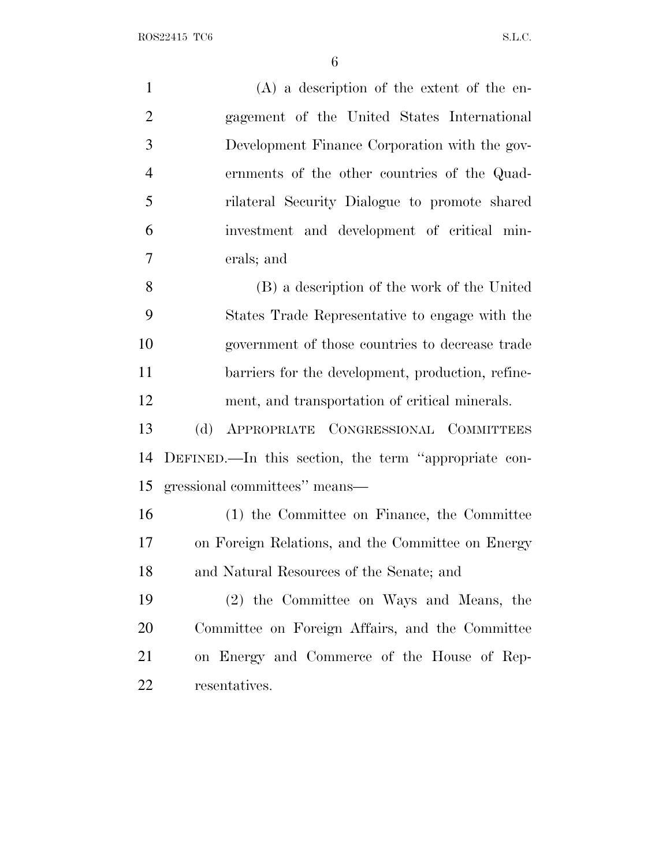| $\mathbf{1}$   | $(A)$ a description of the extent of the en-         |
|----------------|------------------------------------------------------|
| $\overline{2}$ | gagement of the United States International          |
| 3              | Development Finance Corporation with the gov-        |
| $\overline{4}$ | ernments of the other countries of the Quad-         |
| 5              | rilateral Security Dialogue to promote shared        |
| 6              | investment and development of critical min-          |
| $\overline{7}$ | erals; and                                           |
| 8              | (B) a description of the work of the United          |
| 9              | States Trade Representative to engage with the       |
| 10             | government of those countries to decrease trade      |
| 11             | barriers for the development, production, refine-    |
| 12             | ment, and transportation of critical minerals.       |
| 13             | APPROPRIATE CONGRESSIONAL COMMITTEES<br>(d)          |
| 14             | DEFINED.—In this section, the term "appropriate con- |
| 15             | gressional committees" means-                        |
| 16             | (1) the Committee on Finance, the Committee          |
| 17             | on Foreign Relations, and the Committee on Energy    |
| 18             | and Natural Resources of the Senate; and             |
| 19             | (2) the Committee on Ways and Means, the             |
| <b>20</b>      | Committee on Foreign Affairs, and the Committee      |
| 21             | on Energy and Commerce of the House of Rep-          |
| 22             | resentatives.                                        |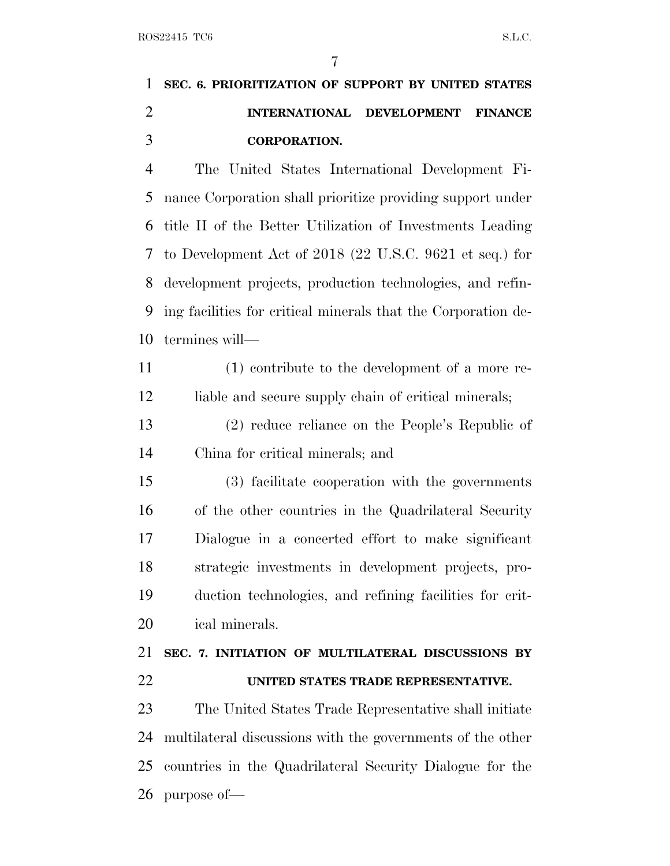| 1 SEC. 6. PRIORITIZATION OF SUPPORT BY UNITED STATES |                                   |
|------------------------------------------------------|-----------------------------------|
|                                                      | INTERNATIONAL DEVELOPMENT FINANCE |
| <b>CORPORATION.</b>                                  |                                   |

 The United States International Development Fi- nance Corporation shall prioritize providing support under title II of the Better Utilization of Investments Leading to Development Act of 2018 (22 U.S.C. 9621 et seq.) for development projects, production technologies, and refin- ing facilities for critical minerals that the Corporation de-termines will—

 (1) contribute to the development of a more re-12 liable and secure supply chain of critical minerals;

 (2) reduce reliance on the People's Republic of China for critical minerals; and

 (3) facilitate cooperation with the governments of the other countries in the Quadrilateral Security Dialogue in a concerted effort to make significant strategic investments in development projects, pro- duction technologies, and refining facilities for crit-ical minerals.

### **SEC. 7. INITIATION OF MULTILATERAL DISCUSSIONS BY UNITED STATES TRADE REPRESENTATIVE.**

 The United States Trade Representative shall initiate multilateral discussions with the governments of the other countries in the Quadrilateral Security Dialogue for the purpose of—